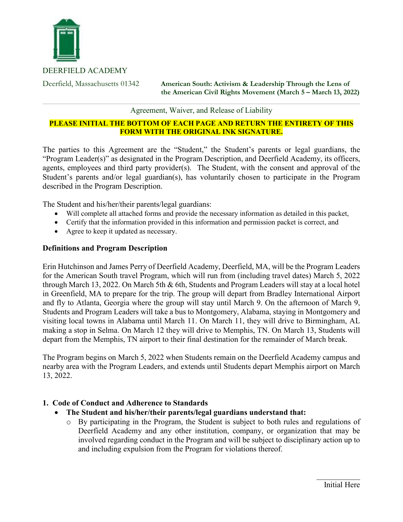

DEERFIELD ACADEMY

Deerfield, Massachusetts 01342 **American South: Activism & Leadership Through the Lens of the American Civil Rights Movement (March 5 – March 13, 2022)** 

Agreement, Waiver, and Release of Liability

## **PLEASE INITIAL THE BOTTOM OF EACH PAGE AND RETURN THE ENTIRETY OF THIS FORM WITH THE ORIGINAL INK SIGNATURE.**

The parties to this Agreement are the "Student," the Student's parents or legal guardians, the "Program Leader(s)" as designated in the Program Description, and Deerfield Academy, its officers, agents, employees and third party provider(s). The Student, with the consent and approval of the Student's parents and/or legal guardian(s), has voluntarily chosen to participate in the Program described in the Program Description.

The Student and his/her/their parents/legal guardians:

- Will complete all attached forms and provide the necessary information as detailed in this packet,
- Certify that the information provided in this information and permission packet is correct, and
- Agree to keep it updated as necessary.

## **Definitions and Program Description**

Erin Hutchinson and James Perry of Deerfield Academy, Deerfield, MA, will be the Program Leaders for the American South travel Program, which will run from (including travel dates) March 5, 2022 through March 13, 2022. On March 5th & 6th, Students and Program Leaders will stay at a local hotel in Greenfield, MA to prepare for the trip. The group will depart from Bradley International Airport and fly to Atlanta, Georgia where the group will stay until March 9. On the afternoon of March 9, Students and Program Leaders will take a bus to Montgomery, Alabama, staying in Montgomery and visiting local towns in Alabama until March 11. On March 11, they will drive to Birmingham, AL making a stop in Selma. On March 12 they will drive to Memphis, TN. On March 13, Students will depart from the Memphis, TN airport to their final destination for the remainder of March break.

The Program begins on March 5, 2022 when Students remain on the Deerfield Academy campus and nearby area with the Program Leaders, and extends until Students depart Memphis airport on March 13, 2022.

## **1. Code of Conduct and Adherence to Standards**

- **The Student and his/her/their parents/legal guardians understand that:**
	- o By participating in the Program, the Student is subject to both rules and regulations of Deerfield Academy and any other institution, company, or organization that may be involved regarding conduct in the Program and will be subject to disciplinary action up to and including expulsion from the Program for violations thereof.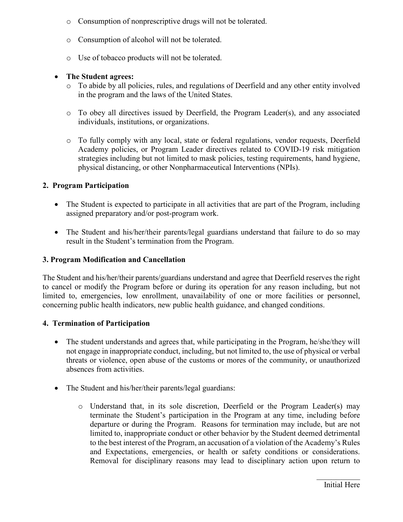- o Consumption of nonprescriptive drugs will not be tolerated.
- o Consumption of alcohol will not be tolerated.
- o Use of tobacco products will not be tolerated.

## • **The Student agrees:**

- o To abide by all policies, rules, and regulations of Deerfield and any other entity involved in the program and the laws of the United States.
- o To obey all directives issued by Deerfield, the Program Leader(s), and any associated individuals, institutions, or organizations.
- o To fully comply with any local, state or federal regulations, vendor requests, Deerfield Academy policies, or Program Leader directives related to COVID-19 risk mitigation strategies including but not limited to mask policies, testing requirements, hand hygiene, physical distancing, or other Nonpharmaceutical Interventions (NPIs).

# **2. Program Participation**

- The Student is expected to participate in all activities that are part of the Program, including assigned preparatory and/or post-program work.
- The Student and his/her/their parents/legal guardians understand that failure to do so may result in the Student's termination from the Program.

## **3. Program Modification and Cancellation**

The Student and his/her/their parents/guardians understand and agree that Deerfield reserves the right to cancel or modify the Program before or during its operation for any reason including, but not limited to, emergencies, low enrollment, unavailability of one or more facilities or personnel, concerning public health indicators, new public health guidance, and changed conditions.

## **4. Termination of Participation**

- The student understands and agrees that, while participating in the Program, he/she/they will not engage in inappropriate conduct, including, but not limited to, the use of physical or verbal threats or violence, open abuse of the customs or mores of the community, or unauthorized absences from activities.
- The Student and his/her/their parents/legal guardians:
	- o Understand that, in its sole discretion, Deerfield or the Program Leader(s) may terminate the Student's participation in the Program at any time, including before departure or during the Program. Reasons for termination may include, but are not limited to, inappropriate conduct or other behavior by the Student deemed detrimental to the best interest of the Program, an accusation of a violation of the Academy's Rules and Expectations, emergencies, or health or safety conditions or considerations. Removal for disciplinary reasons may lead to disciplinary action upon return to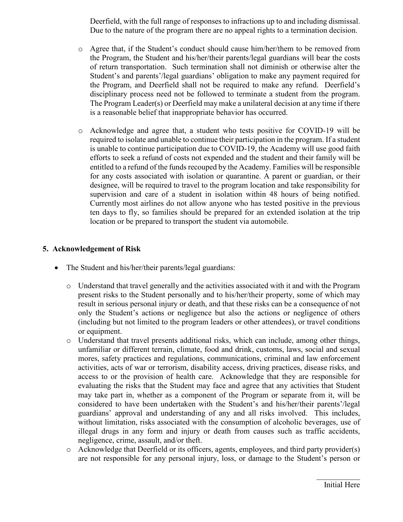Deerfield, with the full range of responses to infractions up to and including dismissal. Due to the nature of the program there are no appeal rights to a termination decision.

- o Agree that, if the Student's conduct should cause him/her/them to be removed from the Program, the Student and his/her/their parents/legal guardians will bear the costs of return transportation. Such termination shall not diminish or otherwise alter the Student's and parents'/legal guardians' obligation to make any payment required for the Program, and Deerfield shall not be required to make any refund. Deerfield's disciplinary process need not be followed to terminate a student from the program. The Program Leader(s) or Deerfield may make a unilateral decision at any time if there is a reasonable belief that inappropriate behavior has occurred.
- o Acknowledge and agree that, a student who tests positive for COVID-19 will be required to isolate and unable to continue their participation in the program. If a student is unable to continue participation due to COVID-19, the Academy will use good faith efforts to seek a refund of costs not expended and the student and their family will be entitled to a refund of the funds recouped by the Academy. Families will be responsible for any costs associated with isolation or quarantine. A parent or guardian, or their designee, will be required to travel to the program location and take responsibility for supervision and care of a student in isolation within 48 hours of being notified. Currently most airlines do not allow anyone who has tested positive in the previous ten days to fly, so families should be prepared for an extended isolation at the trip location or be prepared to transport the student via automobile.

# **5. Acknowledgement of Risk**

- The Student and his/her/their parents/legal guardians:
	- o Understand that travel generally and the activities associated with it and with the Program present risks to the Student personally and to his/her/their property, some of which may result in serious personal injury or death, and that these risks can be a consequence of not only the Student's actions or negligence but also the actions or negligence of others (including but not limited to the program leaders or other attendees), or travel conditions or equipment.
	- o Understand that travel presents additional risks, which can include, among other things, unfamiliar or different terrain, climate, food and drink, customs, laws, social and sexual mores, safety practices and regulations, communications, criminal and law enforcement activities, acts of war or terrorism, disability access, driving practices, disease risks, and access to or the provision of health care. Acknowledge that they are responsible for evaluating the risks that the Student may face and agree that any activities that Student may take part in, whether as a component of the Program or separate from it, will be considered to have been undertaken with the Student's and his/her/their parents'/legal guardians' approval and understanding of any and all risks involved. This includes, without limitation, risks associated with the consumption of alcoholic beverages, use of illegal drugs in any form and injury or death from causes such as traffic accidents, negligence, crime, assault, and/or theft.
	- o Acknowledge that Deerfield or its officers, agents, employees, and third party provider(s) are not responsible for any personal injury, loss, or damage to the Student's person or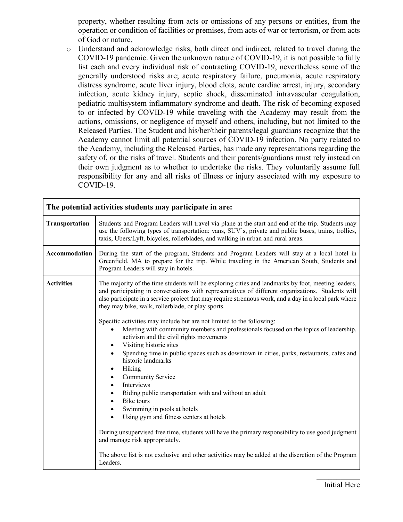property, whether resulting from acts or omissions of any persons or entities, from the operation or condition of facilities or premises, from acts of war or terrorism, or from acts of God or nature.

o Understand and acknowledge risks, both direct and indirect, related to travel during the COVID-19 pandemic. Given the unknown nature of COVID-19, it is not possible to fully list each and every individual risk of contracting COVID-19, nevertheless some of the generally understood risks are; acute respiratory failure, pneumonia, acute respiratory distress syndrome, acute liver injury, blood clots, acute cardiac arrest, injury, secondary infection, acute kidney injury, septic shock, disseminated intravascular coagulation, pediatric multisystem inflammatory syndrome and death. The risk of becoming exposed to or infected by COVID-19 while traveling with the Academy may result from the actions, omissions, or negligence of myself and others, including, but not limited to the Released Parties. The Student and his/her/their parents/legal guardians recognize that the Academy cannot limit all potential sources of COVID-19 infection. No party related to the Academy, including the Released Parties, has made any representations regarding the safety of, or the risks of travel. Students and their parents/guardians must rely instead on their own judgment as to whether to undertake the risks. They voluntarily assume full responsibility for any and all risks of illness or injury associated with my exposure to COVID-19.

| The potential activities students may participate in are: |                                                                                                                                                                                                                                                                                                                                                                                                                                                                                                                                                                                                                                                                                                                                                                                                                                                                                                                                                                                                                                                                                                                                                                                                                                                                                              |  |  |
|-----------------------------------------------------------|----------------------------------------------------------------------------------------------------------------------------------------------------------------------------------------------------------------------------------------------------------------------------------------------------------------------------------------------------------------------------------------------------------------------------------------------------------------------------------------------------------------------------------------------------------------------------------------------------------------------------------------------------------------------------------------------------------------------------------------------------------------------------------------------------------------------------------------------------------------------------------------------------------------------------------------------------------------------------------------------------------------------------------------------------------------------------------------------------------------------------------------------------------------------------------------------------------------------------------------------------------------------------------------------|--|--|
| Transportation                                            | Students and Program Leaders will travel via plane at the start and end of the trip. Students may<br>use the following types of transportation: vans, SUV's, private and public buses, trains, trollies,<br>taxis, Ubers/Lyft, bicycles, rollerblades, and walking in urban and rural areas.                                                                                                                                                                                                                                                                                                                                                                                                                                                                                                                                                                                                                                                                                                                                                                                                                                                                                                                                                                                                 |  |  |
| Accommodation                                             | During the start of the program, Students and Program Leaders will stay at a local hotel in<br>Greenfield, MA to prepare for the trip. While traveling in the American South, Students and<br>Program Leaders will stay in hotels.                                                                                                                                                                                                                                                                                                                                                                                                                                                                                                                                                                                                                                                                                                                                                                                                                                                                                                                                                                                                                                                           |  |  |
| <b>Activities</b>                                         | The majority of the time students will be exploring cities and landmarks by foot, meeting leaders,<br>and participating in conversations with representatives of different organizations. Students will<br>also participate in a service project that may require strenuous work, and a day in a local park where<br>they may bike, walk, rollerblade, or play sports.<br>Specific activities may include but are not limited to the following:<br>Meeting with community members and professionals focused on the topics of leadership,<br>$\bullet$<br>activism and the civil rights movements<br>Visiting historic sites<br>٠<br>Spending time in public spaces such as downtown in cities, parks, restaurants, cafes and<br>$\bullet$<br>historic landmarks<br>Hiking<br>٠<br>Community Service<br>٠<br>Interviews<br>$\bullet$<br>Riding public transportation with and without an adult<br>$\bullet$<br><b>Bike</b> tours<br>Swimming in pools at hotels<br>$\bullet$<br>Using gym and fitness centers at hotels<br>$\bullet$<br>During unsupervised free time, students will have the primary responsibility to use good judgment<br>and manage risk appropriately.<br>The above list is not exclusive and other activities may be added at the discretion of the Program<br>Leaders. |  |  |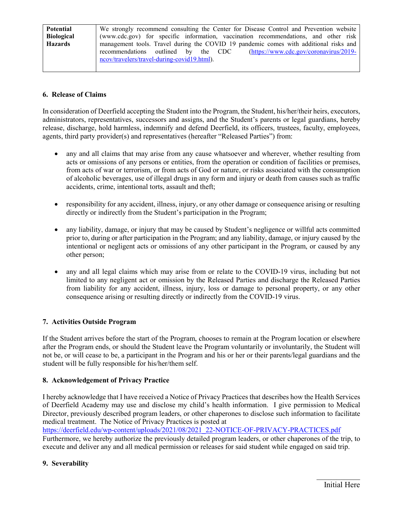| <b>Potential</b>  | We strongly recommend consulting the Center for Disease Control and Prevention website |  |  |
|-------------------|----------------------------------------------------------------------------------------|--|--|
| <b>Biological</b> | (www.cdc.gov) for specific information, vaccination recommendations, and other risk    |  |  |
| <b>Hazards</b>    | management tools. Travel during the COVID 19 pandemic comes with additional risks and  |  |  |
|                   | recommendations outlined by the CDC<br>$(htips://www.cdc.gov/coronavirus/2019-$        |  |  |
|                   | ncov/travelers/travel-during-covid19.html).                                            |  |  |
|                   |                                                                                        |  |  |

## **6. Release of Claims**

In consideration of Deerfield accepting the Student into the Program, the Student, his/her/their heirs, executors, administrators, representatives, successors and assigns, and the Student's parents or legal guardians, hereby release, discharge, hold harmless, indemnify and defend Deerfield, its officers, trustees, faculty, employees, agents, third party provider(s) and representatives (hereafter "Released Parties") from:

- any and all claims that may arise from any cause whatsoever and wherever, whether resulting from acts or omissions of any persons or entities, from the operation or condition of facilities or premises, from acts of war or terrorism, or from acts of God or nature, or risks associated with the consumption of alcoholic beverages, use of illegal drugs in any form and injury or death from causes such as traffic accidents, crime, intentional torts, assault and theft;
- responsibility for any accident, illness, injury, or any other damage or consequence arising or resulting directly or indirectly from the Student's participation in the Program;
- any liability, damage, or injury that may be caused by Student's negligence or willful acts committed prior to, during or after participation in the Program; and any liability, damage, or injury caused by the intentional or negligent acts or omissions of any other participant in the Program, or caused by any other person;
- any and all legal claims which may arise from or relate to the COVID-19 virus, including but not limited to any negligent act or omission by the Released Parties and discharge the Released Parties from liability for any accident, illness, injury, loss or damage to personal property, or any other consequence arising or resulting directly or indirectly from the COVID-19 virus.

### **7. Activities Outside Program**

If the Student arrives before the start of the Program, chooses to remain at the Program location or elsewhere after the Program ends, or should the Student leave the Program voluntarily or involuntarily, the Student will not be, or will cease to be, a participant in the Program and his or her or their parents/legal guardians and the student will be fully responsible for his/her/them self.

### **8. Acknowledgement of Privacy Practice**

I hereby acknowledge that I have received a Notice of Privacy Practices that describes how the Health Services of Deerfield Academy may use and disclose my child's health information. I give permission to Medical Director, previously described program leaders, or other chaperones to disclose such information to facilitate medical treatment. The Notice of Privacy Practices is posted at

[https://deerfield.edu/wp-content/uploads/2021/08/2021\\_22-NOTICE-OF-PRIVACY-PRACTICES.pdf](https://deerfield.edu/wp-content/uploads/2021/08/2021_22-NOTICE-OF-PRIVACY-PRACTICES.pdf) Furthermore, we hereby authorize the previously detailed program leaders, or other chaperones of the trip, to execute and deliver any and all medical permission or releases for said student while engaged on said trip.

### **9. Severability**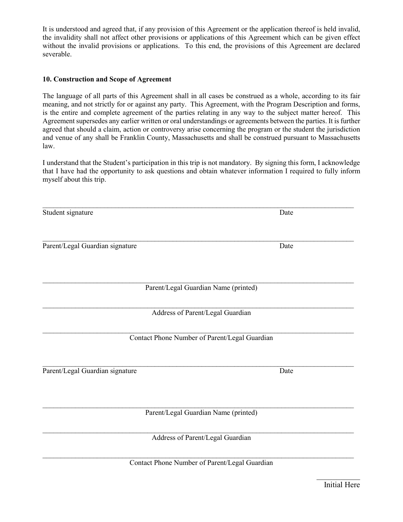It is understood and agreed that, if any provision of this Agreement or the application thereof is held invalid, the invalidity shall not affect other provisions or applications of this Agreement which can be given effect without the invalid provisions or applications. To this end, the provisions of this Agreement are declared severable.

#### **10. Construction and Scope of Agreement**

The language of all parts of this Agreement shall in all cases be construed as a whole, according to its fair meaning, and not strictly for or against any party. This Agreement, with the Program Description and forms, is the entire and complete agreement of the parties relating in any way to the subject matter hereof. This Agreement supersedes any earlier written or oral understandings or agreements between the parties. It is further agreed that should a claim, action or controversy arise concerning the program or the student the jurisdiction and venue of any shall be Franklin County, Massachusetts and shall be construed pursuant to Massachusetts law.

I understand that the Student's participation in this trip is not mandatory. By signing this form, I acknowledge that I have had the opportunity to ask questions and obtain whatever information I required to fully inform myself about this trip.

| Student signature                             | Date |
|-----------------------------------------------|------|
| Parent/Legal Guardian signature               | Date |
|                                               |      |
| Parent/Legal Guardian Name (printed)          |      |
| Address of Parent/Legal Guardian              |      |
| Contact Phone Number of Parent/Legal Guardian |      |
| Parent/Legal Guardian signature               | Date |
| Parent/Legal Guardian Name (printed)          |      |
| Address of Parent/Legal Guardian              |      |
| Contact Phone Number of Parent/Legal Guardian |      |

Initial Here